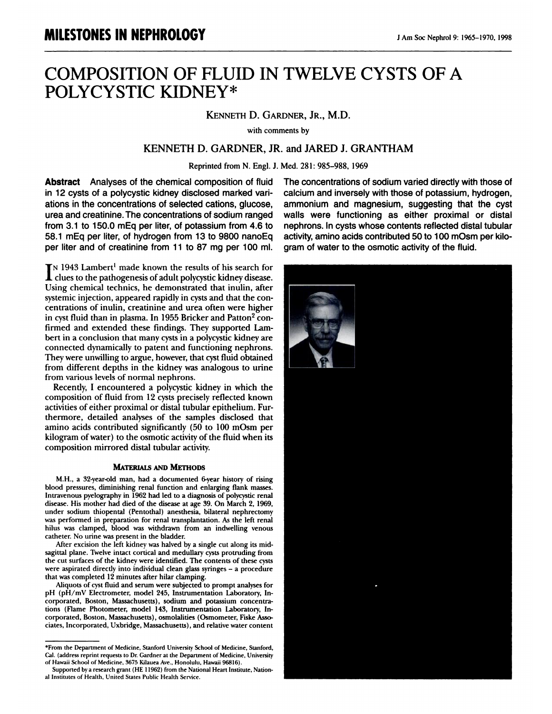## **MILESTONES IN NEPHROLOGY<br>COMPOSITION OF FLUID IN TWELVE CYSTS OF A<br>POLYCYSTIC KIDNEY\* MILESTONES IN NEPHROLOGY<br>
COMPOSITION OF FLUID I<br>
POLYCYSTIC KIDNEY\***<br>
KENNETH D. "LUID IN I WELVE"<br>EY\*<br>Kenneth D. Gardner, Jr., M.D.<br>"With comments by D. GARDNER, JR., I<br>with comments by

# KENNETH D. GARDNER, JR., M.D.<br>with comments by<br>KENNETH D. GARDNER, JR. and JARED J. GRANTHAM<br>Reprinted from N. Engl. J. Med. 281: 985–988. 1969 with comments by<br>
H D. GARDNER, JR. and JARED J. GRANT!<br>
Reprinted from N. Engl. J. Med. 281: 985–988, 1969

KENNETH D. GARDNER,<br>Reprinted from N. Engl.<br>**Abstract** Analyses of the chemical composition of fluid<br>in 12 cysts of a polycystic kidney disclosed marked variations in the concentrations of selected cations, glucose Reprinted from N. Engl. J. Med<br> **Abstract** Analyses of the chemical composition of fluid The<br>
in 12 cysts of a polycystic kidney disclosed marked vari-<br>
ations in the concentrations of selected cations, glucose, am<br>
urea a Abstract Analyses of the chemical composition of fluid The in 12 cysts of a polycystic kidney disclosed marked vari-<br>ations in the concentrations of selected cations, glucose, amm<br>urea and creatinine. The concentrations of in 12 cysts of a polycystic kidney disclosed marked vari-<br>ations in the concentrations of selected cations, glucose,<br>urea and creatinine. The concentrations of sodium ranged<br>from 3.1 to 150.0 mEq per liter, of potassium fr per liter and creatinine. The concentrations of selected cations, glucose, urea and creatinine. The concentrations of sodium ranged from 3.1 to 150.0 mEq per liter, of potassium from 4.6 to 58.1 mEq per liter, of hydrogen **I** IS 1943 Lambert<sup>1</sup> made known the results of his search for<br> **I** N 1943 Lambert<sup>1</sup> made known the results of his search for<br> **I** N 1943 Lambert<sup>1</sup> made known the results of his search for<br> **I** clues to the pathogenesi

The pathogenesis to the pathogenesis of adult polycystic kidney of the pathogenesis of adult polycystic kidney disease.<br>In the pathogenesis of adult polycystic kidney disease.<br>Ing chemical technics, he demonstrated that i IN 1943 Lambert<sup>1</sup> made known the results of his search for<br>
IN 1943 Lambert<sup>1</sup> made known the results of his search for<br>
Using chemical technics, he demonstrated that inulin, after<br>
systemic injection, appeared rapidly in IN 1943 Lambert<sup>1</sup> made known the results of his search fo clues to the pathogenesis of adult polycystic kidney disease Using chemical technics, he demonstrated that inulin, after systemic injection, appeared rapidly in cy **COMET SET CONTROLLER CONTROLLER CONTROLLER CONTROLLER CONTROLLER CONTROLLER SYSTEM** Coing chemical technics, he demonstrated that inulin, after systemic injection, appeared rapidly in cysts and that the concentrations of Using chemical technics, he demonstrated that inulin, after systemic injection, appeared rapidly in cysts and that the concentrations of inulin, creatinine and urea often were higher in cyst fluid than in plasma. In 1955 B systemic injection, appeared rapidly in cysts and that the concentrations of inulin, creatinine and urea often were higher in cyst fluid than in plasma. In 1955 Bricker and Patton<sup>2</sup> confirmed and extended these findings. in cyst fluid than in plasma. In 1955 Bricker and Patton<sup>2</sup> confirmed and extended these findings. They supported Lambert in a conclusion that many cysts in a polycystic kidney are connected dynamically to patent and funct in cyst fluid than in plasma. In 1955 Bricker and Patton<sup>2</sup> con-<br>firmed and extended these findings. They supported Lam-<br>bert in a conclusion that many cysts in a polycystic kidney are<br>connected dynamically to patent and f From a conclusion that many cysis in a polycystic kidney are<br>connected dynamically to patent and functioning nephrons.<br>They were unwilling to argue, however, that cyst fluid obtained<br>from different depths in the kidney was

They were unwinning to argue, nowever, that cyst huld obtained<br>from different depths in the kidney was analogous to urine<br>from various levels of normal nephrons.<br>Recently, I encountered a polycystic kidney in which the<br>com from various levels of normal nephrons.<br>Recently, I encountered a polycystic kidney in which the<br>composition of fluid from 12 cysts precisely reflected known<br>activities of either proximal or distal tubular epithelium. Fur-Thermore, Recently, I encountered a polycystic kidney in which the composition of fluid from 12 cysts precisely reflected known activities of either proximal or distal tubular epithelium. Furthermore, detailed analyses of Recentuy, 1 encountered a polycystic Kidney in which the<br>composition of fluid from 12 cysts precisely reflected known<br>activities of either proximal or distal tubular epithelium. Fur-<br>thermore, detailed analyses of the samp composition of find from 12 cysis precisely reflected known<br>activities of either proximal or distal tubular epithelium. Fur-<br>thermore, detailed analyses of the samples disclosed that<br>amino acids contributed significantly ( activities of effiner proximal of ustar tubular<br>thermore, detailed analyses of the sample<br>amino acids contributed significantly (50 to<br>kilogram of water) to the osmotic activity of t<br>composition mirrored distal tubular act kilogram of water) to the osmotic activity of the fluid when its<br>composition mirrored distal tubular activity.<br>MATERIALS AND METHODS<br>M.H., a 32-year-old man, had a documented 6-year history of rising<br>blood pressures, dimin

## MATERIALS AND METhoDs

**MATERIALS AND METHODS**<br>M.H., a 32-year-old man, had a documented 6-year history of rising<br>blood pressures, diminishing renal function and enlarging flank masses.<br>Intravenous pyelography in 1962 had led to a diagnosis of p blood pressures, diminishing renal function and enlarging flank masses.<br>
Intravenous pyelography in 1962 had led to a diagnosis of polycystic renal<br>
disease. His mother had diel of the disease at age 39. On March 2, 1969,<br> disease. His mother had died of the disease at age 39. On March 2, 1969, under sodium thiopental (Pentothal) anesthesia, bilateral nephrectomy was performed in preparation for renal transplantation. As the left renal hilus

hilus was clamped, blood was withdrawn from an indwelling venous<br>catheter. No urine was present in the bladder.<br>After excision the left kidney was halved by a single cut along its mid-<br>sagittal plane. Twelve intact cortica sagittal plane. Twelve intact cortical and medullary cysts protruding from<br>the cut surfaces of the kidney were identified. The contents of these cysts<br>were aspirated directly into individual clean glass syringes - a proced ittal plane. Twelve intact cortical and medullary cysts protruding from<br>cut surfaces of the kidney were identified. The contents of these cysts<br>t was completed 12 minutes after hilar clamping.<br>Aliquots of cyst fluid and s

that was completed 12 minutes after hilar clamping.<br>Aliquots of cyst fluid and serum were subjected to prompt analyses for<br>pH (pH/mV Electrometer, model 245, Instrumentation Laboratory, Inthe cut surfaces of the kidney were identified. The contents of these cysts<br>were aspirated directly into individual clean glass syringes – a procedure<br>that was completed 12 minutes after hilar clamping.<br>Aliquots of cyst fl The Miquots of cyst fluid and serum were subjected to prompt analyses for pH (pH/mV Electrometer, model 245, Instrumentation Laboratory, Incorporated, Boston, Massachusetts), sodium and potassium concentrations (Flame Phot

with comments by<br> **Abstract** Analyses of the chemical composition of fluid<br>
The concentrations of sodium varied directly with those of<br>
in 12 cysts of a polycystic kidney disclosed marked vari-<br>
Calcium and inversely with calcium and inversely with those of potassium, hydrogen, and JARED J. GRANTHAM<br>Med. 281: 985–988, 1969<br>The concentrations of sodium varied directly with those of<br>calcium and inversely with those of potassium, hydrogen,<br>ammonium and magnesium, suggesting that the cyst Med. 281: 985–988, 1969<br>The concentrations of sodium varied directly with those of<br>calcium and inversely with those of potassium, hydrogen,<br>ammonium and magnesium, suggesting that the cyst<br>walls were functioning as either Med. 281: 985–988, 1969<br>The concentrations of sodium varied directly with those of<br>calcium and inversely with those of potassium, hydrogen,<br>ammonium and magnesium, suggesting that the cyst<br>walls were functioning as either The concentrations of sodium varied directly with those of calcium and inversely with those of potassium, hydrogen, ammonium and magnesium, suggesting that the cyst walls were functioning as either proximal or distal nephr calcium and inversely with those of potassium, hydrogen<br>ammonium and magnesium, suggesting that the cys<br>walls were functioning as either proximal or dista<br>nephrons. In cysts whose contents reflected distal tubula<br>activity, walls were functioning as either proximal or distal nephrons. In cysts whose contents reflected distal tubular activity, amino acids contributed 50 to 100 mOsm per kilonephrons. In cysts whose contents reflected distal tubular gram of water to the osmotic activity of the fluid.



the Supervisory of Sledicine. Stanford University School of Medicine. Stanford From the Department of Medicine. Stanford University School of Medicine. Stanford, Cat. (address reprint requests to Dr. Gardner at the Departm Cal. (address reprint requests to Dr. Gardner at the Department of Medicine, University

Supported by a research grant (HE 11962) from the National Heart Institute, National Institutes of Health, United States Public Health Service.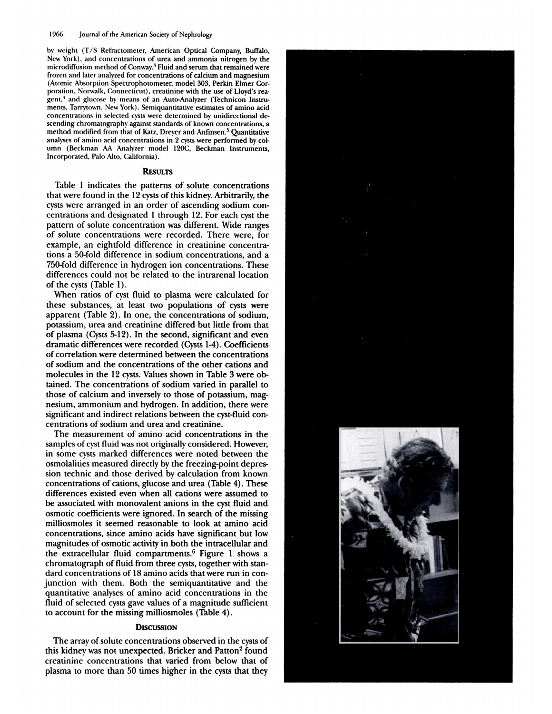by weight (T/S Refractometer, American Optical Company, Buffalo, New York), and concentrations of urea and ammonia nitrogen by the microdiffusion method of Conway.<sup>3</sup> Fluid and serum that remained were frozen and later analyzed for concentrations of calcium and magnesium (Atomic Absorption Spectrophotometer, model 303, Perkin Elmer Corporation, Norwalk, Connecticut), creatinine with the use of Lloyd's reagent,<sup>4</sup> and glucose by means of an Auto-Analyzer (Technicon Instruments, Tarrytown, New York). Semiquantitative estimates of amino acid concentrations in selected cysts were determined by unidirectional descending chromatography against standards of known concentrations, a method modified from that of Katz, Dreyer and Anfinsen.<sup>5</sup> Quantitative analyses of amino acid concentrations in 2 cysts were performed by column (Beckman AA Analyzer model 120C, Beckman Instruments, Incorporated, Palo Alto, California).

### **RESULTS**

Table 1 indicates the patterns of solute concentrations that were found in the 12 cysts of this kidney. Arbitrarily, the cysts were arranged in an order of ascending sodium concentrations and designated 1 through 12. For each cyst the pattern of solute concentration was different. Wide ranges of solute concentrations were recorded. There were, for example, an eightfold difference in creatinine concentrations a 50-fold difference in sodium concentrations, and a 750-fold difference in hydrogen ion concentrations. These differences could not be related to the intrarenal location of the cysts (Table 1).

When ratios of cyst fluid to plasma were calculated for these substances, at least two populations of cysts were apparent (Table 2). In one, the concentrations of sodium, potassium, urea and creatinine differed but little from that of plasma (Cysts 5-12). In the second, significant and even dramatic differences were recorded (Cysts 1-4). Coefficients of correlation were determined between the concentrations of sodium and the concentrations of the other cations and molecules in the 12 cysts. Values shown in Table 3 were obtained. The concentrations of sodium varied in parallel to those of calcium and inversely to those of potassium, magnesium, ammonium and hydrogen. In addition, there were significant and indirect relations between the cyst-fluid concentrations of sodium and urea and creatinine.

The measurement of amino acid concentrations in the samples of cyst fluid was not originally considered. However, in some cysts marked differences were noted between the osmolalities measured directly by the freezing-point depression technic and those derived by calculation from known concentrations of cations, glucose and urea (Table 4). These differences existed even when all cations were assumed to be associated with monovalent anions in the cyst fluid and osmotic coefficients were ignored. In search of the missing milliosmoles it seemed reasonable to look at amino acid concentrations, since amino acids have significant but low magnitudes of osmotic activity in both the intracellular and the extracellular fluid compartments.<sup>6</sup> Figure 1 shows a chromatograph of fluid from three cysts, together with standard concentrations of 18 amino acids that were run in conjunction with them. Both the semiquantitative and the quantitative analyses of amino acid concentrations in the fluid of selected cysts gave values of a magnitude sufficient to account for the missing milliosmoles (Table 4).

### **DISCUSSION**

The array of solute concentrations observed in the cysts of this kidney was not unexpected. Bricker and Patton<sup>2</sup> found creatinine concentrations that varied from below that of plasma to more than 50 times higher in the cysts that they



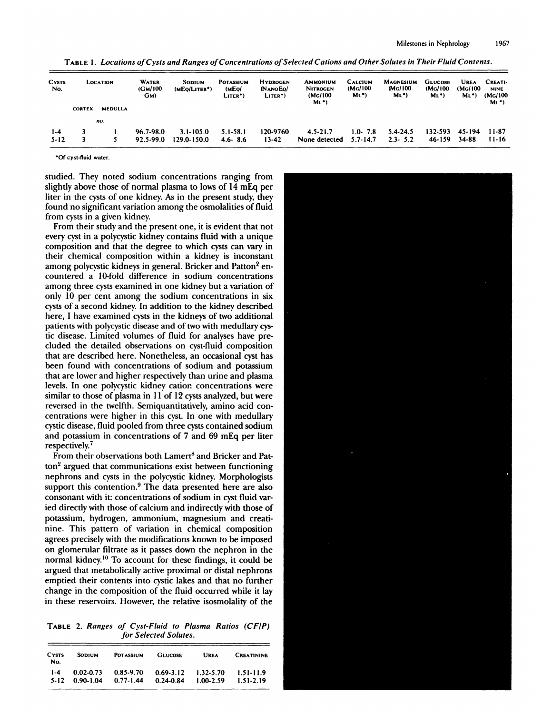| <b>CYSTS</b><br>No. | <b>LOCATION</b> |                | <b>WATER</b><br>(GM/100)<br>GM) | SODIUM<br>(MEO/LITER*) | <b>POTASSIUM</b><br>(MEO/<br>LITER <sup>*</sup> ) | <b>HYDROGEN</b><br><b>NANOEO</b><br>LITER <sup>*</sup> ) | <b>AMMONIUM</b><br><b>NITROGEN</b><br>(Mg/100<br>$ML$ <sup>*</sup> ) | <b>CALCIUM</b><br>(MG/100<br>$ML^*)$ | <b>MAGNESIUM</b><br>MG/100<br>$ML$ <sup>*</sup> ) | <b>GLUCOSE</b><br>(Mg/100<br>M <sub>L</sub> | <b>UREA</b><br>(MG/100)<br>M <sub>L</sub> | CREATI-<br><b>NINE</b><br>(MG/100)<br>$M_L$ <sup>*</sup> ) |
|---------------------|-----------------|----------------|---------------------------------|------------------------|---------------------------------------------------|----------------------------------------------------------|----------------------------------------------------------------------|--------------------------------------|---------------------------------------------------|---------------------------------------------|-------------------------------------------|------------------------------------------------------------|
|                     | <b>CORTEX</b>   | <b>MEDULLA</b> |                                 |                        |                                                   |                                                          |                                                                      |                                      |                                                   |                                             |                                           |                                                            |
|                     |                 | no.            |                                 |                        |                                                   |                                                          |                                                                      |                                      |                                                   |                                             |                                           |                                                            |
| $1-4$               |                 |                | 96.7-98.0                       | $3.1 - 105.0$          | 5.1-58.1                                          | 120-9760                                                 | $4.5 - 21.7$                                                         | $1.0 - 7.8$                          | 5.4-24.5                                          | 132-593                                     | 45-194                                    | 11-87                                                      |
| $5 - 12$            |                 |                | 92.5-99.0                       | 129.0-150.0            | $4.6 - 8.6$                                       | $13 - 42$                                                | None detected                                                        | $5.7 - 14.7$                         | $2.3 - 5.2$                                       | 46-159                                      | 34-88                                     | $11 - 16$                                                  |

Milestones in Nephrology 1967<br>TABLE 1. *Locations of Cysts and Ranges of Concentrations of Selected Cations and Other Solutes in Their Fluid Contents.* 

'Of cysi.fluid water.

studied. They noted sodium concentrations ranging from slightly above those of normal plasma to lows of 14 mEq per \*Of cyst-fluid water.<br>studied. They noted sodium concentrations ranging from<br>slightly above those of normal plasma to lows of 14 mEq per<br>liter in the cysts of one kidney. As in the present study, they <sup>•</sup> Of cyst-fluid water.<br>
studied. They noted sodium concentrations ranging from<br>
slightly above those of normal plasma to lows of 14 mEq per<br>
liter in the cysts of one kidney. As in the present study, they<br>
found no signi studied. They noted sodium concentrations ranging from slightly above those of normal plasma to lows of 14 mEq per liter in the cysts of one kidney. As in the present study, they found no significant variation among the os found no significant variation among the osmolalities of fluid<br>from cysts in a given kidney.<br>From their study and the present one, it is evident that not ghiny above those of flormal plasma to lows of 14 ling per<br>er in the cysts of one kidney. As in the present study, they<br>und no significant variation among the osmolalities of fluid<br>om cysts in a given kidney.<br>From their st

liter in the cysts of one kidney. As in the present study, they<br>found no significant variation among the osmolalities of fluid<br>from cysts in a given kidney.<br>From their study and the present one, it is evident that not<br>ever From cysts in a given kidney.<br>
From their study and the present one, it is evident that not<br>
every cyst in a polycystic kidney contains fluid with a unique<br>
composition and that the degree to which cysts can vary in<br>
their From their study and the present one, it is evident that not<br>every cyst in a polycystic kidney contains fluid with a unique<br>composition and that the degree to which cysts can vary in<br>their chemical composition within a kid composition and that the degree to which cysts can vary in<br>their chemical composition within a kidney is inconstant<br>among polycystic kidneys in general. Bricker and Patton<sup>2</sup> en-<br>countered a 10-fold difference in sodium co composition and that the degree to which cysts can vary in<br>their chemical composition within a kidney is inconstant<br>among polycystic kidneys in general. Bricker and Patton<sup>2</sup> en-<br>countered a 10-fold difference in sodium co countered a 10-fold difference in sodium concentration<br>among three cysts examined in one kidney but a variation c<br>only 10 per cent among the sodium concentrations in si<br>cysts of a second kidney. In addition to the kidney d here cysts examined in one kidney but a variation of<br>per cent among the sodium concentrations in six<br>a second kidney. In addition to the kidney described<br>lawe examined cysts in the kidneys of two additional<br>with polycystic cysts of a second kidney. In addition to the kidney described<br>here, I have examined cysts in the kidneys of two additional<br>patients with polycystic disease and of two with medullary cys-<br>tic disease. Limited volumes of flu cysis of a second kidney. In addition to the kidney described<br>here, I have examined cysts in the kidneys of two additional<br>patients with polycystic disease and of two with medullary cys-<br>tic disease. Limited volumes of flu that are described here. Nonetheless, an occasional cystic disease. Limited volumes of fluid for analyses have precluded the detailed observations on cyst-fluid composition that are described here. Nonetheless, an occasion that are discussed. Emineta volumes of fluid for analyses have pre-<br>cluded the detailed observations on cyst-fluid composition<br>that are described here. Nonetheless, an occasional cyst has<br>been found with concentrations of cluded the detailed observations on cyst-huld composition<br>that are described here. Nonetheless, an occasional cyst has<br>been found with concentrations of sodium and potassium<br>that are lower and higher respectively than urin been found with concentrations of sodium and potassium<br>that are lower and higher respectively than urine and plasma<br>levels. In one polycystic kidney cation concentrations were<br>similar to those of plasma in 11 of 12 cysts a Evers. In one polycystic kinney canon. Concernitations were<br>similar to those of plasma in 11 of 12 cysts analyzed, but were<br>reversed in the twelfth. Semiquantitatively, amino acid con-<br>centrations were higher in this cyst. similar to those of plasma in 11 of 12 cysts analyzed, but were<br>reversed in the twelfth. Semiquantitatively, amino acid con-<br>centrations were higher in this cyst. In one with medullary<br>cystic disease, fluid pooled from thr ntrations were higher in this cyst. In one with medullary<br>stic disease, fluid pooled from three cysts contained sodium<br>id potassium in concentrations of 7 and 69 mEq per liter<br>spectively.<sup>7</sup><br>From their observations both La

cystic disease, fluid pooled from three cysts contained sodium<br>and potassium in concentrations of 7 and 69 mEq per liter<br>respectively.<sup>7</sup><br>From their observations both Lamert<sup>8</sup> and Bricker and Pat-<br>ton<sup>2</sup> argued that commu and polassium in concentrations of *Y* and 09 incq per increspectively.<sup>7</sup><br>
From their observations both Lamert<sup>8</sup> and Bricker and Pat-<br>
ton<sup>2</sup> argued that communications exist between functioning<br>
nephrons and cysts in th From their observators oon Eamert and Dicket and Fat<br>ton<sup>2</sup> argued that communications exist between functioning<br>nephrons and cysts in the polycystic kidney. Morphologists<br>support this contention.<sup>9</sup> The data presented her support this contention.<sup>9</sup> The data presented here are also consonant with it: concentrations of sodium in cyst fluid varied directly with those of calcium and indirectly with those of potassium, hydrogen, ammonium, magne ied directly with those of calcium and indirectly with those of potassium, hydrogen, ammonium, magnesium and creatinine. This pattern of variation in chemical composition agrees precisely with the modifications known to be ied directly with those of calcium and indirectly with those of<br>potassium, hydrogen, ammonium, magnesium and creati-<br>nine. This pattern of variation in chemical composition<br>agrees precisely with the modifications known to potassium, hydrogen, ammonium, magnesium and creati-<br>nine. This pattern of variation in chemical composition<br>agrees precisely with the modifications known to be imposed<br>on glomerular filtrate as it passes down the nephron agrees precisely with the modifications known to be imposed<br>on glomerular filtrate as it passes down the nephron in the<br>normal kidney.<sup>10</sup> To account for these findings, it could be<br>argued that metabolically active proxima on giomerular matte as a passes down the hephron in the<br>normal kidney.<sup>10</sup> To account for these findings, it could be<br>argued that metabolically active proximal or distal nephrons<br>emptied their contents into cystic lakes a argued that metabolically active proximal or distal nephrons emptied their contents into cystic lakes and that no further change in the composition of the fluid occurred while it lay<br>in these reservoirs. However, the relative isosmolality of the<br>TABLE 2. *Ranges of Cyst-Fluid to Plasma Ratios (CF/P)*<br>for Selected Solutes. in these reservoirs. However, the relative isosmolality of the

| <b>CYSTS</b><br>No. | <b>SODIUM</b> | <b>POTASSIUM</b> | <b>GLUCOSE</b> | UREA          | <b>CREATININE</b> |
|---------------------|---------------|------------------|----------------|---------------|-------------------|
| $1 - 4$             | $0.02 - 0.73$ | 0.85-9.70        | $0.69 - 3.12$  | $1.32 - 5.70$ | 1.51-11.9         |
| $5 - 12$            | $0.90 - 1.04$ | $0.77 - 1.44$    | $0.24 - 0.84$  | $1.00 - 2.59$ | $1.51 - 2.19$     |

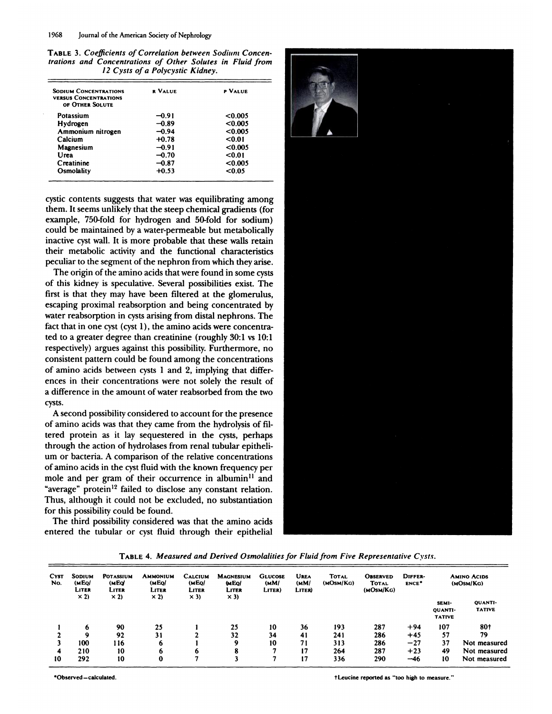1968 Journal of the American Society of Nephrology<br>TABLE 3. *Coefficients of Correlation between Sodium Conc*<br>*trations and Concentrations of Other Solutes in Fluid fr I*<br>1968 Journal of the American Society of Nephrology<br>**TABLE 3. Coefficients of Correlation between Sodium Concentrations and Concentrations of Other Solutes in Fluid from<br>***I2 Cysts of a Polycystic Kidney.* **12 Cysts of Correlation between Sodium Concentrations and Concentrations of Other Solutes in Fluid free Solutes of a Polycystic Kidney.<br>
2 Cysts of a Polycystic Kidney.<br>
<b>12 Cysts of a Polycystic Kidney.**<br> **12 Cysts of a** 

| <b>SODIUM CONCENTRATIONS</b><br><b>VERSUS CONCENTRATIONS</b><br>OF OTHER SOLUTE | <b>R VALUE</b> | P VALUE |
|---------------------------------------------------------------------------------|----------------|---------|
| Potassium                                                                       | -0.91          | < 0.005 |
| Hydrogen                                                                        | $-0.89$        | < 0.005 |
| Ammonium nitrogen                                                               | $-0.94$        | < 0.005 |
| Calcium                                                                         | $+0.78$        | 0.01    |
| Magnesium                                                                       | $-0.91$        | <0.005  |
| Urea                                                                            | $-0.70$        | 0.01    |
| Creatinine                                                                      | $-0.87$        | < 0.005 |
| Osmolality                                                                      | $+0.53$        | <0.05   |

cystic contents suggests that water was equilibrating among them. It seems ttnbikelv that the steep chemical gradients (for example, contents suggests that water was equilibrating among<br>them. It seems unlikely that the steep chemical gradients (for<br>example, 750-fold for hydrogen and 50-fold for sodium)<br>could be maintained by a water-permeable b cystic contents suggests that water was equilibrating among<br>them. It seems unlikely that the steep chemical gradients (for<br>example, 750-fold for hydrogen and 50-fold for sodium)<br>could be maintained by a water-permeable but From It seems unlikely that the steep chemical gradients (for example, 750-fold for hydrogen and 50-fold for sodium) could be maintained by a water-permeable but metabolically inactive cyst wall. It is more probable that t example, 750-fold for hydrogen and 50-fold for sodium)<br>could be maintained by a water-permeable but metabolically<br>inactive cyst wall. It is more probable that these walls retain<br>their metabolic activity and the functional but a be maintained by a water-permeable but metabolically<br>active cyst wall. It is more probable that these walls retain<br>eir metabolic activity and the functional characteristics<br>culiar to the segment of the nephron from w

their metabolic activity and the functional characteristics<br>peculiar to the segment of the nephron from which they arise.<br>The origin of the amino acids that were found in some cysts<br>of this kidney is speculative. Several p The origin of the amino acids that were found in some cysts<br>of this kidney is speculative. Several possibilities exist. The<br>first is that they may have been filtered at the glomerulus,<br>escaping proximal reabsorption and be of this kidney is speculative. Several possibilities exist. The first is that they may have been filtered at the glomerulus, escaping proximal reabsorption and being concentrated by water reabsorption in cysts arising from or this kidney is speculative. Several possibilities exist.<br>first is that they may have been filtered at the glomeri<br>escaping proximal reabsorption and being concentrate<br>water reabsorption in cysts arising from distal neph the gromerulus,<br>escaping proximal reabsorption and being concentrated by<br>water reabsorption in cysts arising from distal nephrons. The<br>fact that in one cyst (cyst 1), the amino acids were concentra-<br>ted to a greater degree escaping proximal reabsorption and being concentrated by<br>water reabsorption in cysts arising from distal nephrons. The<br>fact that in one cyst (cyst 1), the amino acids were concentra-<br>ted to a greater degree than creatinine water reabsorption in cysts arising from distant nephrons. The<br>fact that in one cyst (cyst 1), the amino acids were concentra<br>ted to a greater degree than creatinine (roughly 30:1 vs 10:1<br>respectively) argues against this act that in one cyst (cyst 1), the animo acids were concentra-<br>ted to a greater degree than creatinine (roughly 30:1 vs 10:1<br>respectively) argues against this possibility. Furthermore, no<br>consistent pattern could be found respectively) argues against this possibility. Furthermore, no consistent pattern could be found among the concentrations of amino acids between cysts 1 and 2, implying that differences in their concentrations were not sol cysts. ences in their concentrations were not solely the result of<br>a difference in the amount of water reabsorbed from the two<br>cysts.<br>A second possibility considered to account for the presence<br>of amino acids was that they came f

a difference in the amount or water reabsorbed from the two<br>cysts.<br>A second possibility considered to account for the presence<br>of amino acids was that they came from the hydrolysis of fil-<br>tered protein as it lay sequester A second possibility considered to account for the presence of amino acids was that they came from the hydrolysis of fil tered protein as it lay sequestered in the cysts, perhaps through the action of hydrolases from renal or amino acids was that they came from the hydrolysis of fil-<br>tered protein as it lay sequestered in the cysts, perhaps<br>through the action of hydrolases from renal tubular epitheli-<br>um or bacteria. A comparison of the rela tered protein as it lay sequestered in the cysts, perhaps<br>through the action of hydrolases from renal tubular epitheli-<br>um or bacteria. A comparison of the relative concentrations<br>of amino acids in the cyst fluid with the um or bacteria. A comparison of the relative concentrations of amino acids in the cyst fluid with the known frequency per mole and per gram of their occurrence in albumin<sup>11</sup> and "average" protein<sup>12</sup> failed to disclose an mole and per gram of their occurrence in albumin<sup>11</sup> and "average" protein<sup>12</sup> failed to disclose any constant relation.<br>Thus, although it could not be excluded, no substantiation<br>for this possibility could be found.<br>The t Thus, although it could not be excluded, no substantiation<br>for this possibility could be found.<br>The third possibility considered was that the amino acids<br>entered the tubular or cyst fluid through their epithelial



| <b>CYST</b><br>No. | <b>SODIUM</b><br>(MEO/<br>LITER<br>$\times$ 2) | <b>POTASSIUM</b><br>(MEQ<br>LITER<br>$\times$ 2) | Ammonium<br>(MEQ/<br>LITER<br>$\times$ 2) | <b>CALCIUM</b><br>(MEQ/<br>LITER | <b>MAGNESIUM</b><br><b>MEO</b><br>LITER<br>$\times$ 3) | <b>GLUCOSE</b><br>(MM)<br>LITER) | UREA<br>(MM)<br>LITER) | <b>TOTAL</b><br>(MOSM/KG) | <b>OBSERVED</b><br><b>TOTAL</b><br>(MOSM/KG) | DIFFER-<br>ENCE <sup>*</sup> | <b>AMINO ACIDS</b><br>(MOSM/KG)          |                          |
|--------------------|------------------------------------------------|--------------------------------------------------|-------------------------------------------|----------------------------------|--------------------------------------------------------|----------------------------------|------------------------|---------------------------|----------------------------------------------|------------------------------|------------------------------------------|--------------------------|
|                    |                                                |                                                  |                                           | $\times$ 3)                      |                                                        |                                  |                        |                           |                                              |                              | SEMI-<br><b>QUANTI-</b><br><b>TATIVE</b> | QUANTI-<br><b>TATIVE</b> |
|                    | 6                                              | 90                                               | 25                                        |                                  | 25                                                     | 10                               | 36                     | 193                       | 287                                          | $+94$                        | 107                                      | 80†                      |
|                    | 9                                              | 92                                               | 31                                        |                                  | 32                                                     | 34                               | 41                     | 241                       | 286                                          | $+45$                        | 57                                       | 79                       |
|                    | 100                                            | 116                                              |                                           |                                  | 9                                                      | 10                               | 71                     | 313                       | 286                                          | $-27$                        | 37                                       | Not measured             |
|                    | 210                                            | 10                                               |                                           | 6                                | ۰<br>ō                                                 |                                  | 17                     | 264                       | 287                                          | $+23$                        | 49                                       | Not measured             |
| 10                 | 292                                            | 10                                               | 0                                         |                                  |                                                        |                                  | 17                     | 336                       | 290                                          | $-46$                        | 10                                       | Not measured             |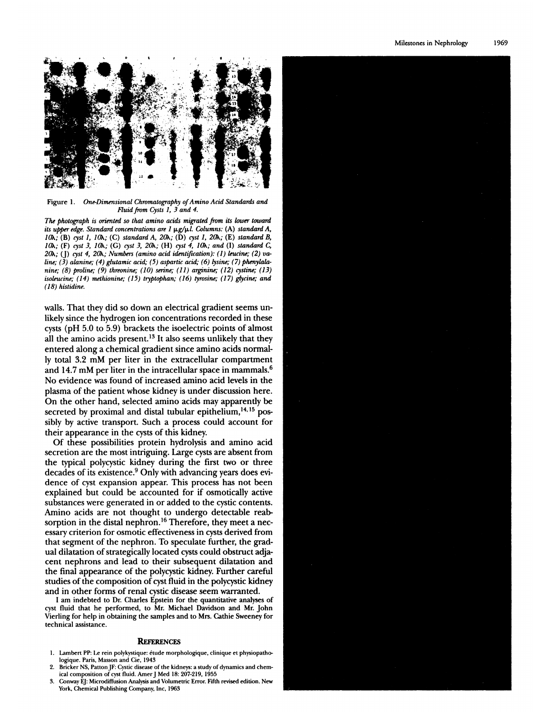

Figure 1. One-Dimensional Chromatography of Amino Acid Standards and Fluid from Cysts 1, 3 and 4.

The photograph is oriented so that amino acids migrated from its lower toward its upper edge. Standard concentrations are  $l \mu g/\mu l$ . Columns: (A) standard A, 10h; (B) cyst 1, 10h; (C) standard A, 20h; (D) cyst 1, 20h; (E) standard B, 10h; (F) cyst 3, 10h; (G) cyst 3, 20h; (H) cyst 4, 10h; and (I) standard C, 20h; (J) cyst 4, 20h; Numbers (amino acid identification): (1) leucine; (2) valine; (3) alanine; (4) glutamic acid; (5) aspartic acid; (6) lysine; (7) phenylalanine;  $(8)$  proline;  $(9)$  threonine;  $(10)$  serine;  $(11)$  arginine;  $(12)$  cystine;  $(13)$ isoleucine; (14) methionine; (15) tryptophan; (16) tyrosine; (17) glycine; and (18) histidine.

walls. That they did so down an electrical gradient seems unlikely since the hydrogen ion concentrations recorded in these cysts (pH 5.0 to 5.9) brackets the isoelectric points of almost all the amino acids present.<sup>13</sup> It also seems unlikely that they entered along a chemical gradient since amino acids normally total 3.2 mM per liter in the extracellular compartment and 14.7 mM per liter in the intracellular space in mammals.<sup>6</sup> No evidence was found of increased amino acid levels in the plasma of the patient whose kidney is under discussion here. On the other hand, selected amino acids may apparently be secreted by proximal and distal tubular epithelium,<sup>14,15</sup> possibly by active transport. Such a process could account for their appearance in the cysts of this kidney.

Of these possibilities protein hydrolysis and amino acid secretion are the most intriguing. Large cysts are absent from the typical polycystic kidney during the first two or three decades of its existence.<sup>9</sup> Only with advancing years does evidence of cyst expansion appear. This process has not been explained but could be accounted for if osmotically active substances were generated in or added to the cystic contents. Amino acids are not thought to undergo detectable reabsorption in the distal nephron.<sup>16</sup> Therefore, they meet a necessary criterion for osmotic effectiveness in cysts derived from that segment of the nephron. To speculate further, the gradual dilatation of strategically located cysts could obstruct adjacent nephrons and lead to their subsequent dilatation and the final appearance of the polycystic kidney. Further careful studies of the composition of cyst fluid in the polycystic kidney and in other forms of renal cystic disease seem warranted.

I am indebted to Dr. Charles Epstein for the quantitative analyses of cyst fluid that he performed, to Mr. Michael Davidson and Mr. John Vierling for help in obtaining the samples and to Mrs. Cathie Sweeney for technical assistance.

### **REFERENCES**

- 1. Lambert PP: Le rein polykystique: étude morphologique, clinique et physiopathologique. Paris, Masson and Cie, 1943
- 2. Bricker NS, Patton JF: Cystic disease of the kidneys: a study of dynamics and chemical composition of cyst fluid. Amer J Med 18: 207-219, 1955
- 3. Conway EI: Microdiffusion Analysis and Volumetric Error. Fifth revised edition. New York, Chemical Publishing Company, Inc, 1963